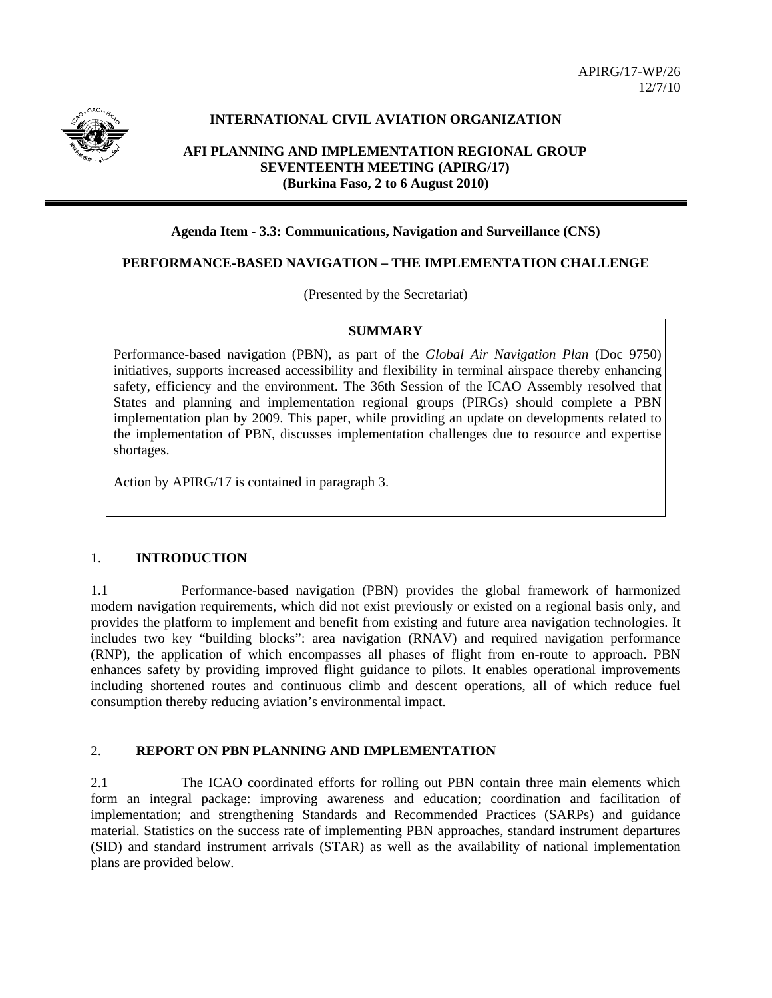

# **INTERNATIONAL CIVIL AVIATION ORGANIZATION**

## **AFI PLANNING AND IMPLEMENTATION REGIONAL GROUP SEVENTEENTH MEETING (APIRG/17) (Burkina Faso, 2 to 6 August 2010)**

#### **Agenda Item - 3.3: Communications, Navigation and Surveillance (CNS)**

### **PERFORMANCE-BASED NAVIGATION – THE IMPLEMENTATION CHALLENGE**

(Presented by the Secretariat)

#### **SUMMARY**

Performance-based navigation (PBN), as part of the *Global Air Navigation Plan* (Doc 9750) initiatives, supports increased accessibility and flexibility in terminal airspace thereby enhancing safety, efficiency and the environment. The 36th Session of the ICAO Assembly resolved that States and planning and implementation regional groups (PIRGs) should complete a PBN implementation plan by 2009. This paper, while providing an update on developments related to the implementation of PBN, discusses implementation challenges due to resource and expertise shortages.

Action by APIRG/17 is contained in paragraph 3.

### 1. **INTRODUCTION**

1.1 Performance-based navigation (PBN) provides the global framework of harmonized modern navigation requirements, which did not exist previously or existed on a regional basis only, and provides the platform to implement and benefit from existing and future area navigation technologies. It includes two key "building blocks": area navigation (RNAV) and required navigation performance (RNP), the application of which encompasses all phases of flight from en-route to approach. PBN enhances safety by providing improved flight guidance to pilots. It enables operational improvements including shortened routes and continuous climb and descent operations, all of which reduce fuel consumption thereby reducing aviation's environmental impact.

### 2. **REPORT ON PBN PLANNING AND IMPLEMENTATION**

2.1 The ICAO coordinated efforts for rolling out PBN contain three main elements which form an integral package: improving awareness and education; coordination and facilitation of implementation; and strengthening Standards and Recommended Practices (SARPs) and guidance material. Statistics on the success rate of implementing PBN approaches, standard instrument departures (SID) and standard instrument arrivals (STAR) as well as the availability of national implementation plans are provided below.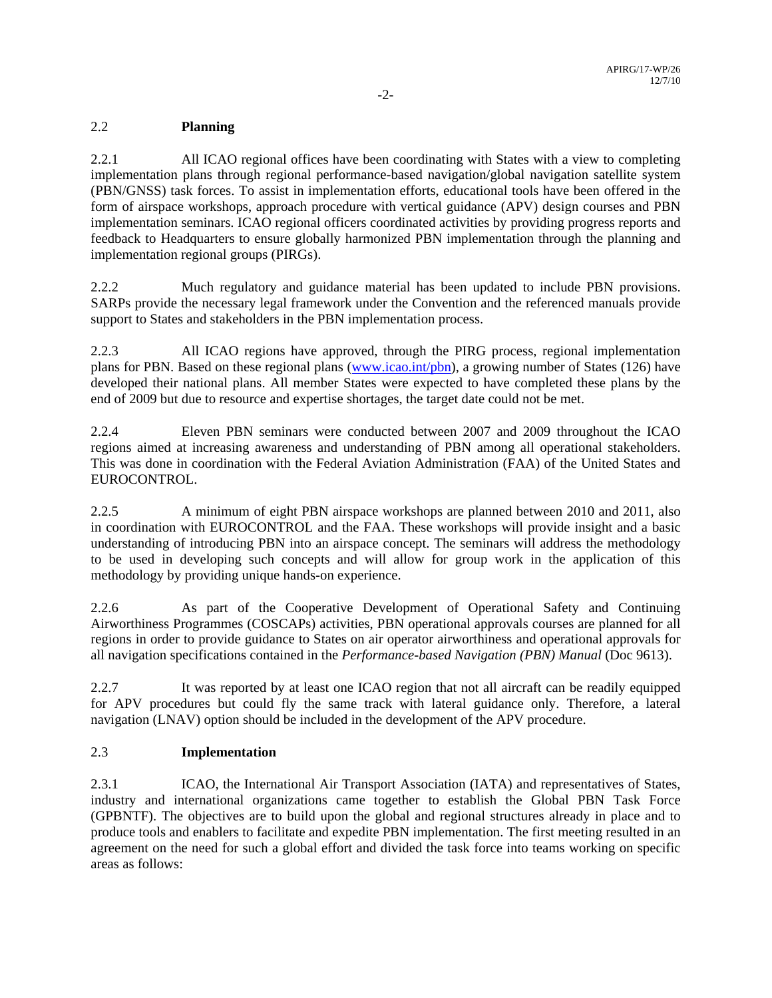# 2.2 **Planning**

2.2.1 All ICAO regional offices have been coordinating with States with a view to completing implementation plans through regional performance-based navigation/global navigation satellite system (PBN/GNSS) task forces. To assist in implementation efforts, educational tools have been offered in the form of airspace workshops, approach procedure with vertical guidance (APV) design courses and PBN implementation seminars. ICAO regional officers coordinated activities by providing progress reports and feedback to Headquarters to ensure globally harmonized PBN implementation through the planning and implementation regional groups (PIRGs).

2.2.2 Much regulatory and guidance material has been updated to include PBN provisions. SARPs provide the necessary legal framework under the Convention and the referenced manuals provide support to States and stakeholders in the PBN implementation process.

2.2.3 All ICAO regions have approved, through the PIRG process, regional implementation plans for PBN. Based on these regional plans (www.icao.int/pbn), a growing number of States (126) have developed their national plans. All member States were expected to have completed these plans by the end of 2009 but due to resource and expertise shortages, the target date could not be met.

2.2.4 Eleven PBN seminars were conducted between 2007 and 2009 throughout the ICAO regions aimed at increasing awareness and understanding of PBN among all operational stakeholders. This was done in coordination with the Federal Aviation Administration (FAA) of the United States and EUROCONTROL.

2.2.5 A minimum of eight PBN airspace workshops are planned between 2010 and 2011, also in coordination with EUROCONTROL and the FAA. These workshops will provide insight and a basic understanding of introducing PBN into an airspace concept. The seminars will address the methodology to be used in developing such concepts and will allow for group work in the application of this methodology by providing unique hands-on experience.

2.2.6 As part of the Cooperative Development of Operational Safety and Continuing Airworthiness Programmes (COSCAPs) activities, PBN operational approvals courses are planned for all regions in order to provide guidance to States on air operator airworthiness and operational approvals for all navigation specifications contained in the *Performance-based Navigation (PBN) Manual* (Doc 9613).

2.2.7 It was reported by at least one ICAO region that not all aircraft can be readily equipped for APV procedures but could fly the same track with lateral guidance only. Therefore, a lateral navigation (LNAV) option should be included in the development of the APV procedure.

### 2.3 **Implementation**

2.3.1 ICAO, the International Air Transport Association (IATA) and representatives of States, industry and international organizations came together to establish the Global PBN Task Force (GPBNTF). The objectives are to build upon the global and regional structures already in place and to produce tools and enablers to facilitate and expedite PBN implementation. The first meeting resulted in an agreement on the need for such a global effort and divided the task force into teams working on specific areas as follows: